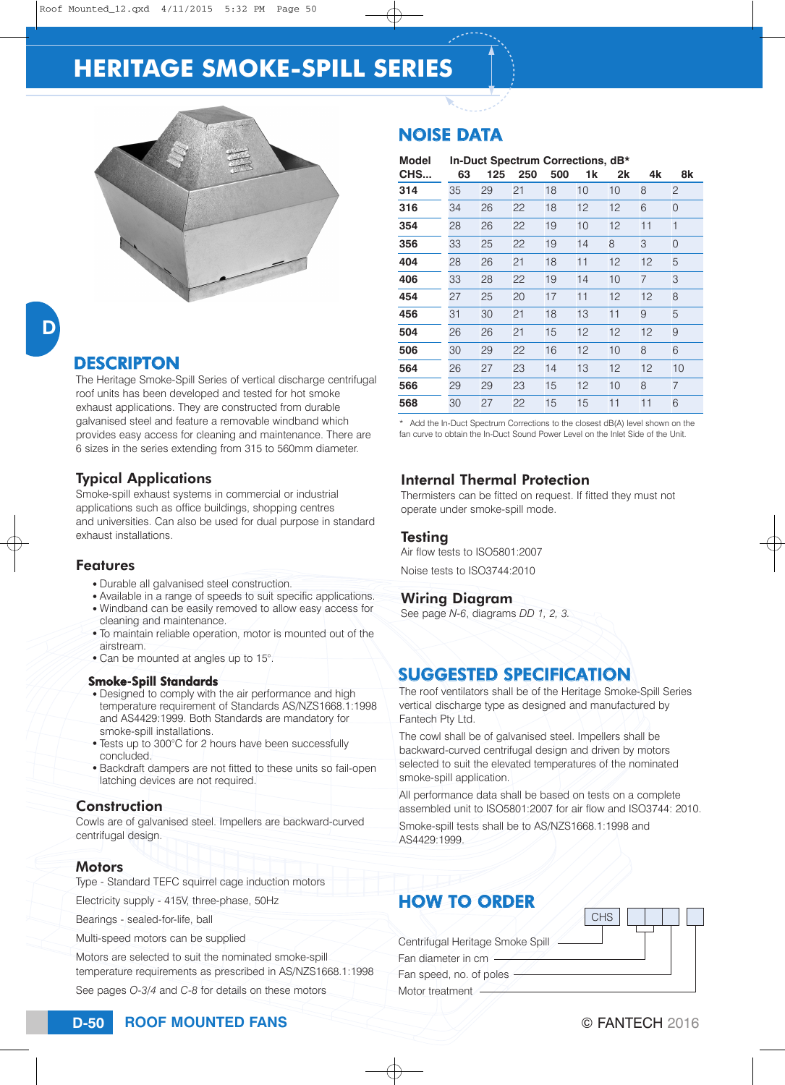# **HERITAGE SMOKE-SPILL SERIES**



D

## **DESCRIPTON**

The Heritage Smoke-Spill Series of vertical discharge centrifugal roof units has been developed and tested for hot smoke exhaust applications. They are constructed from durable galvanised steel and feature a removable windband which provides easy access for cleaning and maintenance. There are 6 sizes in the series extending from 315 to 560mm diameter.

#### Typical Applications

Smoke-spill exhaust systems in commercial or industrial applications such as office buildings, shopping centres and universities. Can also be used for dual purpose in standard exhaust installations.

#### Features

- Durable all galvanised steel construction.
- Available in a range of speeds to suit specific applications. • Windband can be easily removed to allow easy access for
- cleaning and maintenance. • To maintain reliable operation, motor is mounted out of the airstream.
- Can be mounted at angles up to 15°.

#### Smoke-Spill Standards

- Designed to comply with the air performance and high temperature requirement of Standards AS/NZS1668.1:1998 and AS4429:1999. Both Standards are mandatory for smoke-spill installations.
- Tests up to 300°C for 2 hours have been successfully concluded.
- Backdraft dampers are not fitted to these units so fail-open latching devices are not required.

#### **Construction**

Cowls are of galvanised steel. Impellers are backward-curved centrifugal design.

#### **Motors**

Type - Standard TEFC squirrel cage induction motors

Electricity supply - 415V, three-phase, 50Hz

Bearings - sealed-for-life, ball

Multi-speed motors can be supplied

Motors are selected to suit the nominated smoke-spill temperature requirements as prescribed in AS/NZS1668.1:1998 See pages *O-3/4* and *C-8* for details on these motors

## NOISE DATA

| <b>Model</b> | In-Duct Spectrum Corrections, dB* |     |     |     |    |    |                |                |
|--------------|-----------------------------------|-----|-----|-----|----|----|----------------|----------------|
| CHS          | 63                                | 125 | 250 | 500 | 1k | 2k | 4k             | 8k             |
| 314          | 35                                | 29  | 21  | 18  | 10 | 10 | 8              | 2              |
| 316          | 34                                | 26  | 22  | 18  | 12 | 12 | 6              | 0              |
| 354          | 28                                | 26  | 22  | 19  | 10 | 12 | 11             | $\mathbf{1}$   |
| 356          | 33                                | 25  | 22  | 19  | 14 | 8  | 3              | 0              |
| 404          | 28                                | 26  | 21  | 18  | 11 | 12 | 12             | 5              |
| 406          | 33                                | 28  | 22  | 19  | 14 | 10 | $\overline{7}$ | 3              |
| 454          | 27                                | 25  | 20  | 17  | 11 | 12 | 12             | 8              |
| 456          | 31                                | 30  | 21  | 18  | 13 | 11 | 9              | 5              |
| 504          | 26                                | 26  | 21  | 15  | 12 | 12 | 12             | 9              |
| 506          | 30                                | 29  | 22  | 16  | 12 | 10 | 8              | 6              |
| 564          | 26                                | 27  | 23  | 14  | 13 | 12 | 12             | 10             |
| 566          | 29                                | 29  | 23  | 15  | 12 | 10 | 8              | $\overline{7}$ |
| 568          | 30                                | 27  | 22  | 15  | 15 | 11 | 11             | 6              |

\* Add the In-Duct Spectrum Corrections to the closest dB(A) level shown on the fan curve to obtain the In-Duct Sound Power Level on the Inlet Side of the Unit.

#### Internal Thermal Protection

Thermisters can be fitted on request. If fitted they must not operate under smoke-spill mode.

#### Testing

Air flow tests to ISO5801:2007

Noise tests to ISO3744:2010

#### Wiring Diagram

See page *N-6*, diagrams *DD 1, 2, 3.*

### SUGGESTED SPECIFICATION

The roof ventilators shall be of the Heritage Smoke-Spill Series vertical discharge type as designed and manufactured by Fantech Pty Ltd.

The cowl shall be of galvanised steel. Impellers shall be backward-curved centrifugal design and driven by motors selected to suit the elevated temperatures of the nominated smoke-spill application.

All performance data shall be based on tests on a complete assembled unit to ISO5801:2007 for air flow and ISO3744: 2010.

Smoke-spill tests shall be to AS/NZS1668.1:1998 and AS4429:1999.

## HOW TO ORDER

Fantech Pty Ltd.<br>
The cowl shall be of galvanised<br>
backward-curved centrifugal deselected to suit the elevated ter<br>
smoke-spill application.<br>
All performance data shall be bases<br>
assembled unit to ISO5801:200<br>
Smoke-spill The cowl shall be concluded assembled to suit the smoke-spill applica<br>selected to suit the smoke-spill applica<br>All performance da assembled unit to l<br>Smoke-spill tests s<br>AS4429:1999.<br>**HOW TO C**<br>Centrifugal Heritage Fan dia backward-curved centri<br>selected to suit the elev<br>smoke-spill application<br>All performance data st<br>assembled unit to ISO5<br>Smoke-spill tests shall<br>AS4429:1999.<br><br>**HOW TO ORI**<br>Centrifugal Heritage Sm<br>Fan diameter in cm —<br>Fan sp selected to suit<br>smoke-spill app<br>All performance<br>assembled unit<br>Smoke-spill tes<br>AS4429:1999.<br>**HOW TO**<br>Centrifugal Heri<br>Fan diameter in<br>Fan diameter in<br>Motor treatment<br>Motor treatment